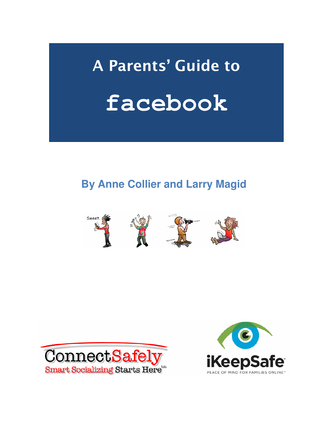# **A Parents' Guide to facebook**

## **By Anne Collier and Larry Magid**





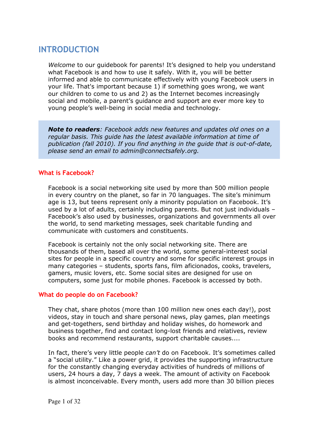## **INTRODUCTION**

*Welcome* to our guidebook for parents! It's designed to help you understand what Facebook is and how to use it safely. With it, you will be better informed and able to communicate effectively with young Facebook users in your life. That's important because 1) if something goes wrong, we want our children to come to us and 2) as the Internet becomes increasingly social and mobile, a parent's guidance and support are ever more key to young people's well-being in social media and technology.

*Note to readers: Facebook adds new features and updates old ones on a regular basis. This guide has the latest available information at time of publication (fall 2010). If you find anything in the guide that is out-of-date, please send an email to admin@connectsafely.org.* 

#### **What is Facebook?**

Facebook is a social networking site used by more than 500 million people in every country on the planet, so far in 70 languages. The site's minimum age is 13, but teens represent only a minority population on Facebook. It's used by a lot of adults, certainly including parents. But not just individuals – Facebook's also used by businesses, organizations and governments all over the world, to send marketing messages, seek charitable funding and communicate with customers and constituents.

Facebook is certainly not the only social networking site. There are thousands of them, based all over the world, some general-interest social sites for people in a specific country and some for specific interest groups in many categories – students, sports fans, film aficionados, cooks, travelers, gamers, music lovers, etc. Some social sites are designed for use on computers, some just for mobile phones. Facebook is accessed by both.

#### **What do people do on Facebook?**

They chat, share photos (more than 100 million new ones each day!), post videos, stay in touch and share personal news, play games, plan meetings and get-togethers, send birthday and holiday wishes, do homework and business together, find and contact long-lost friends and relatives, review books and recommend restaurants, support charitable causes....

In fact, there's very little people *can't* do on Facebook. It's sometimes called a "social utility." Like a power grid, it provides the supporting infrastructure for the constantly changing everyday activities of hundreds of millions of users, 24 hours a day, 7 days a week. The amount of activity on Facebook is almost inconceivable. Every month, users add more than 30 billion pieces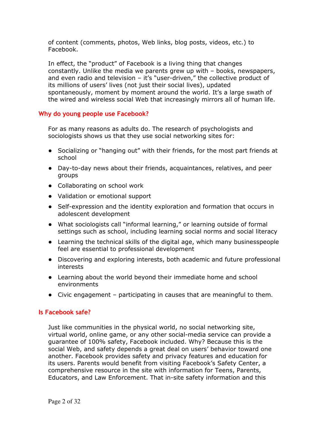of content (comments, photos, Web links, blog posts, videos, etc.) to Facebook.

In effect, the "product" of Facebook is a living thing that changes constantly. Unlike the media we parents grew up with – books, newspapers, and even radio and television – it's "user-driven," the collective product of its millions of users' lives (not just their social lives), updated spontaneously, moment by moment around the world. It's a large swath of the wired and wireless social Web that increasingly mirrors all of human life.

#### **Why do young people use Facebook?**

For as many reasons as adults do. The research of psychologists and sociologists shows us that they use social networking sites for:

- Socializing or "hanging out" with their friends, for the most part friends at school
- Day-to-day news about their friends, acquaintances, relatives, and peer groups
- Collaborating on school work
- Validation or emotional support
- Self-expression and the identity exploration and formation that occurs in adolescent development
- What sociologists call "informal learning," or learning outside of formal settings such as school, including learning social norms and social literacy
- Learning the technical skills of the digital age, which many businesspeople feel are essential to professional development
- Discovering and exploring interests, both academic and future professional interests
- Learning about the world beyond their immediate home and school environments
- Civic engagement participating in causes that are meaningful to them.

#### **Is Facebook safe?**

Just like communities in the physical world, no social networking site, virtual world, online game, or any other social-media service can provide a guarantee of 100% safety, Facebook included. Why? Because this is the social Web, and safety depends a great deal on users' behavior toward one another. Facebook provides safety and privacy features and education for its users. Parents would benefit from visiting Facebook's Safety Center, a comprehensive resource in the site with information for Teens, Parents, Educators, and Law Enforcement. That in-site safety information and this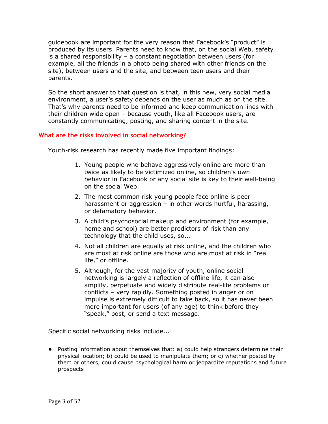guidebook are important for the very reason that Facebook's "product" is produced by its users. Parents need to know that, on the social Web, safety is a shared responsibility – a constant negotiation between users (for example, all the friends in a photo being shared with other friends on the site), between users and the site, and between teen users and their parents.

So the short answer to that question is that, in this new, very social media environment, a user's safety depends on the user as much as on the site. That's why parents need to be informed and keep communication lines with their children wide open – because youth, like all Facebook users, are constantly communicating, posting, and sharing content in the site.

#### **What are the risks involved in social networking?**

Youth-risk research has recently made five important findings:

- 1. Young people who behave aggressively online are more than twice as likely to be victimized online, so children's own behavior in Facebook or any social site is key to their well-being on the social Web.
- 2. The most common risk young people face online is peer harassment or aggression – in other words hurtful, harassing, or defamatory behavior.
- 3. A child's psychosocial makeup and environment (for example, home and school) are better predictors of risk than any technology that the child uses, so...
- 4. Not all children are equally at risk online, and the children who are most at risk online are those who are most at risk in "real life," or offline.
- 5. Although, for the vast majority of youth, online social networking is largely a reflection of offline life, it can also amplify, perpetuate and widely distribute real-life problems or conflicts – very rapidly. Something posted in anger or on impulse is extremely difficult to take back, so it has never been more important for users (of any age) to think before they "speak," post, or send a text message.

Specific social networking risks include...

● Posting information about themselves that: a) could help strangers determine their physical location; b) could be used to manipulate them; or c) whether posted by them or others, could cause psychological harm or jeopardize reputations and future prospects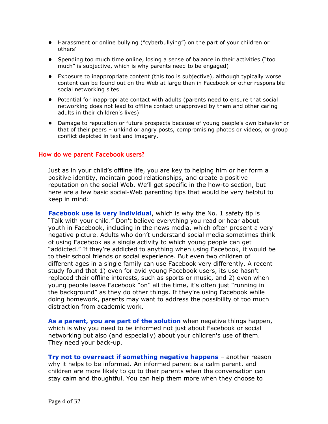- Harassment or online bullying ("cyberbullying") on the part of your children or others'
- Spending too much time online, losing a sense of balance in their activities ("too much" is subjective, which is why parents need to be engaged)
- Exposure to inappropriate content (this too is subjective), although typically worse content can be found out on the Web at large than in Facebook or other responsible social networking sites
- Potential for inappropriate contact with adults (parents need to ensure that social networking does not lead to offline contact unapproved by them and other caring adults in their children's lives)
- Damage to reputation or future prospects because of young people's own behavior or that of their peers – unkind or angry posts, compromising photos or videos, or group conflict depicted in text and imagery.

#### **How do we parent Facebook users?**

Just as in your child's offline life, you are key to helping him or her form a positive identity, maintain good relationships, and create a positive reputation on the social Web. We'll get specific in the how-to section, but here are a few basic social-Web parenting tips that would be very helpful to keep in mind:

**Facebook use is very individual**, which is why the No. 1 safety tip is "Talk with your child." Don't believe everything you read or hear about youth in Facebook, including in the news media, which often present a very negative picture. Adults who don't understand social media sometimes think of using Facebook as a single activity to which young people can get "addicted." If they're addicted to anything when using Facebook, it would be to their school friends or social experience. But even two children of different ages in a single family can use Facebook very differently. A recent study found that 1) even for avid young Facebook users, its use hasn't replaced their offline interests, such as sports or music, and 2) even when young people leave Facebook "on" all the time, it's often just "running in the background" as they do other things. If they're using Facebook while doing homework, parents may want to address the possibility of too much distraction from academic work.

**As a parent, you are part of the solution** when negative things happen, which is why you need to be informed not just about Facebook or social networking but also (and especially) about your children's use of them. They need your back-up.

**Try not to overreact if something negative happens** – another reason why it helps to be informed. An informed parent is a calm parent, and children are more likely to go to their parents when the conversation can stay calm and thoughtful. You can help them more when they choose to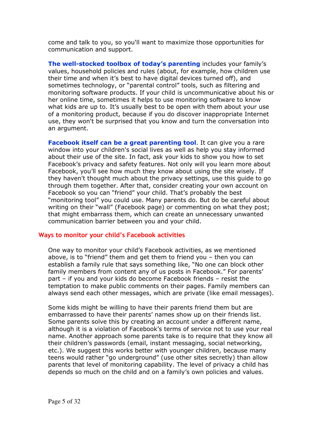come and talk to you, so you'll want to maximize those opportunities for communication and support.

**The well-stocked toolbox of today's parenting** includes your family's values, household policies and rules (about, for example, how children use their time and when it's best to have digital devices turned off), and sometimes technology, or "parental control" tools, such as filtering and monitoring software products. If your child is uncommunicative about his or her online time, sometimes it helps to use monitoring software to know what kids are up to. It's usually best to be open with them about your use of a monitoring product, because if you do discover inappropriate Internet use, they won't be surprised that you know and turn the conversation into an argument.

**Facebook itself can be a great parenting tool**. It can give you a rare window into your children's social lives as well as help you stay informed about their use of the site. In fact, ask your kids to show you how to set Facebook's privacy and safety features. Not only will you learn more about Facebook, you'll see how much they know about using the site wisely. If they haven't thought much about the privacy settings, use this guide to go through them together. After that, consider creating your own account on Facebook so you can "friend" your child. That's probably the best "monitoring tool" you could use. Many parents do. But do be careful about writing on their "wall" (Facebook page) or commenting on what they post; that might embarrass them, which can create an unnecessary unwanted communication barrier between you and your child.

#### **Ways to monitor your child's Facebook activities**

One way to monitor your child's Facebook activities, as we mentioned above, is to "friend" them and get them to friend you – then you can establish a family rule that says something like, "No one can block other family members from content any of us posts in Facebook." For parents' part – if you and your kids do become Facebook friends – resist the temptation to make public comments on their pages. Family members can always send each other messages, which are private (like email messages).

Some kids might be willing to have their parents friend them but are embarrassed to have their parents' names show up on their friends list. Some parents solve this by creating an account under a different name, although it is a violation of Facebook's terms of service not to use your real name. Another approach some parents take is to require that they know all their children's passwords (email, instant messaging, social networking, etc.). We suggest this works better with younger children, because many teens would rather "go underground" (use other sites secretly) than allow parents that level of monitoring capability. The level of privacy a child has depends so much on the child and on a family's own policies and values.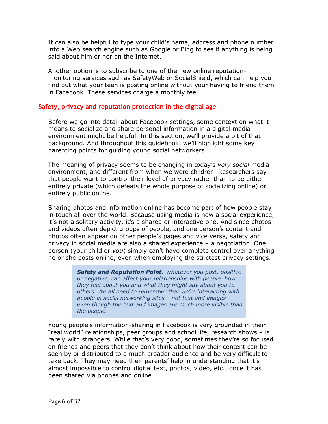It can also be helpful to type your child's name, address and phone number into a Web search engine such as Google or Bing to see if anything is being said about him or her on the Internet.

Another option is to subscribe to one of the new online reputationmonitoring services such as SafetyWeb or SocialShield, which can help you find out what your teen is posting online without your having to friend them in Facebook. These services charge a monthly fee.

#### **Safety, privacy and reputation protection in the digital age**

Before we go into detail about Facebook settings, some context on what it means to socialize and share personal information in a digital media environment might be helpful. In this section, we'll provide a bit of that background. And throughout this guidebook, we'll highlight some key parenting points for guiding young social networkers.

The meaning of privacy seems to be changing in today's *very social* media environment, and different from when we were children. Researchers say that people want to control their level of privacy rather than to be either entirely private (which defeats the whole purpose of socializing online) or entirely public online.

Sharing photos and information online has become part of how people stay in touch all over the world. Because using media is now a social experience, it's not a solitary activity, it's a shared or interactive one. And since photos and videos often depict groups of people, and one person's content and photos often appear on other people's pages and vice versa, safety and privacy in social media are also a shared experience – a negotiation. One person (your child or *you*) simply can't have complete control over anything he or she posts online, even when employing the strictest privacy settings.

> *Safety and Reputation Point: Whatever you post, positive or negative, can affect your relationships with people, how they feel about you and what they might say about you to others. We all need to remember that we're interacting with people in social networking sites – not text and images – even though the text and images are much more visible than the people.*

Young people's information-sharing in Facebook is very grounded in their "real world" relationships, peer groups and school life, research shows – is rarely with strangers. While that's very good, sometimes they're so focused on friends and peers that they don't think about how their content can be seen by or distributed to a much broader audience and be very difficult to take back. They may need their parents' help in understanding that it's almost impossible to control digital text, photos, video, etc., once it has been shared via phones and online.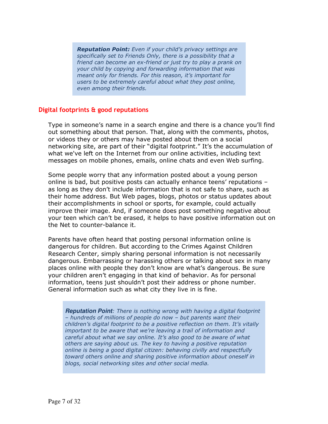*Reputation Point: Even if your child's privacy settings are specifically set to Friends Only, there is a possibility that a friend can become an ex-friend or just try to play a prank on your child by copying and forwarding information that was meant only for friends. For this reason, it's important for users to be extremely careful about what they post online, even among their friends.* 

#### **Digital footprints & good reputations**

Type in someone's name in a search engine and there is a chance you'll find out something about that person. That, along with the comments, photos, or videos they or others may have posted about them on a social networking site, are part of their "digital footprint." It's the accumulation of what we've left on the Internet from our online activities, including text messages on mobile phones, emails, online chats and even Web surfing.

Some people worry that any information posted about a young person online is bad, but positive posts can actually enhance teens' reputations – as long as they don't include information that is not safe to share, such as their home address. But Web pages, blogs, photos or status updates about their accomplishments in school or sports, for example, could actually improve their image. And, if someone does post something negative about your teen which can't be erased, it helps to have positive information out on the Net to counter-balance it.

Parents have often heard that posting personal information online is dangerous for children. But according to the Crimes Against Children Research Center, simply sharing personal information is not necessarily dangerous. Embarrassing or harassing others or talking about sex in many places online with people they don't know are what's dangerous. Be sure your children aren't engaging in that kind of behavior. As for personal information, teens just shouldn't post their address or phone number. General information such as what city they live in is fine.

**Reputation Point***: There is nothing wrong with having a digital footprint – hundreds of millions of people do now – but parents want their children's digital footprint to be a positive reflection on them. It's vitally important to be aware that we're leaving a trail of information and careful about what we say online. It's also good to be aware of what others are saying about us. The key to having a positive reputation online is being a good digital citizen: behaving civilly and respectfully toward others online and sharing positive information about oneself in blogs, social networking sites and other social media.*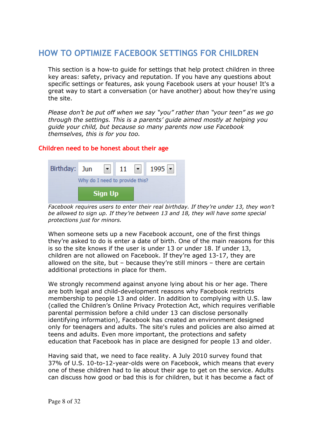## **HOW TO OPTIMIZE FACEBOOK SETTINGS FOR CHILDREN**

This section is a how-to guide for settings that help protect children in three key areas: safety, privacy and reputation. If you have any questions about specific settings or features, ask young Facebook users at your house! It's a great way to start a conversation (or have another) about how they're using the site.

*Please don't be put off when we say "you" rather than "your teen" as we go through the settings. This is a parents' guide aimed mostly at helping you guide your child, but because so many parents now use Facebook themselves, this is for you too.* 

#### **Children need to be honest about their age**



*Facebook requires users to enter their real birthday. If they're under 13, they won't be allowed to sign up. If they're between 13 and 18, they will have some special protections just for minors.* 

When someone sets up a new Facebook account, one of the first things they're asked to do is enter a date of birth. One of the main reasons for this is so the site knows if the user is under 13 or under 18. If under 13, children are not allowed on Facebook. If they're aged 13-17, they are allowed on the site, but – because they're still minors – there are certain additional protections in place for them.

We strongly recommend against anyone lying about his or her age. There are both legal and child-development reasons why Facebook restricts membership to people 13 and older. In addition to complying with U.S. law (called the Children's Online Privacy Protection Act, which requires verifiable parental permission before a child under 13 can disclose personally identifying information), Facebook has created an environment designed only for teenagers and adults. The site's rules and policies are also aimed at teens and adults. Even more important, the protections and safety education that Facebook has in place are designed for people 13 and older.

Having said that, we need to face reality. A July 2010 survey found that 37% of U.S. 10-to-12-year-olds were on Facebook, which means that every one of these children had to lie about their age to get on the service. Adults can discuss how good or bad this is for children, but it has become a fact of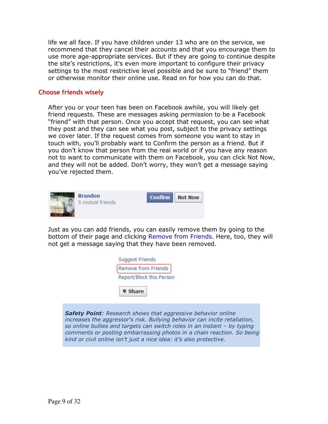life we all face. If you have children under 13 who are on the service, we recommend that they cancel their accounts and that you encourage them to use more age-appropriate services. But if they are going to continue despite the site's restrictions, it's even more important to configure their privacy settings to the most restrictive level possible and be sure to "friend" them or otherwise monitor their online use. Read on for how you can do that.

#### **Choose friends wisely**

After you or your teen has been on Facebook awhile, you will likely get friend requests. These are messages asking permission to be a Facebook "friend" with that person. Once you accept that request, you can see what they post and they can see what you post, subject to the privacy settings we cover later. If the request comes from someone you want to stay in touch with, you'll probably want to Confirm the person as a friend. But if you don't know that person from the real world or if you have any reason not to want to communicate with them on Facebook, you can click Not Now, and they will not be added. Don't worry, they won't get a message saying you've rejected them.



Just as you can add friends, you can easily remove them by going to the bottom of their page and clicking Remove from Friends. Here, too, they will not get a message saying that they have been removed.

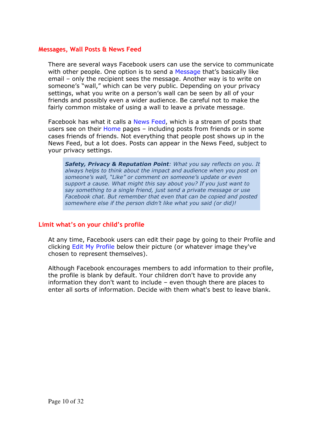#### **Messages, Wall Posts & News Feed**

There are several ways Facebook users can use the service to communicate with other people. One option is to send a Message that's basically like email – only the recipient sees the message. Another way is to write on someone's "wall," which can be very public. Depending on your privacy settings, what you write on a person's wall can be seen by all of your friends and possibly even a wider audience. Be careful not to make the fairly common mistake of using a wall to leave a private message.

Facebook has what it calls a News Feed, which is a stream of posts that users see on their Home pages – including posts from friends or in some cases friends of friends. Not everything that people post shows up in the News Feed, but a lot does. Posts can appear in the News Feed, subject to your privacy settings.

*Safety, Privacy & Reputation Point: What you say reflects on you. It always helps to think about the impact and audience when you post on someone's wall, "Like" or comment on someone's update or even support a cause. What might this say about you? If you just want to say something to a single friend, just send a private message or use Facebook chat. But remember that even that can be copied and posted somewhere else if the person didn't like what you said (or did)!* 

#### **Limit what's on your child's profile**

At any time, Facebook users can edit their page by going to their Profile and clicking Edit My Profile below their picture (or whatever image they've chosen to represent themselves).

Although Facebook encourages members to add information to their profile, the profile is blank by default. Your children don't have to provide any information they don't want to include – even though there are places to enter all sorts of information. Decide with them what's best to leave blank.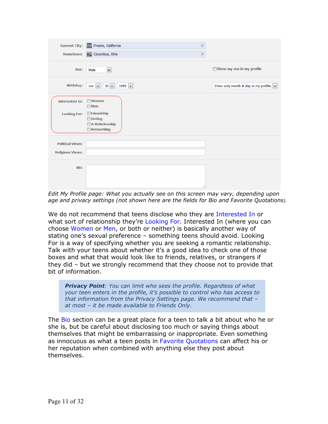| <b>Current City:</b>    | Fresno, California<br>$\times$<br><b>The Second</b>                     |                                                           |
|-------------------------|-------------------------------------------------------------------------|-----------------------------------------------------------|
| <b>Hometown:</b>        | $\times$<br>Columbus, Ohio                                              |                                                           |
| Sex:                    | $\blacksquare$<br>Male                                                  | Show my sex in my profile                                 |
| <b>Birthday:</b>        | $30$ $\rightarrow$<br>1995 $\boxed{\bullet}$<br>$Jun \ \nightharpoonup$ | Show only month & day in my profile. $\boxed{\mathbf{v}}$ |
| <b>Interested In:</b>   | <b>Women</b><br>$\blacksquare$ Men                                      |                                                           |
| <b>Looking For:</b>     | Friendship<br><b>Dating</b>                                             |                                                           |
|                         | A Relationship<br>Networking                                            |                                                           |
| <b>Political Views:</b> |                                                                         |                                                           |
| <b>Religious Views:</b> |                                                                         |                                                           |
| Bio:                    |                                                                         |                                                           |
|                         |                                                                         |                                                           |

*Edit My Profile page: What you actually see on this screen may vary, depending upon age and privacy settings (not shown here are the fields for Bio and Favorite Quotations).* 

We do not recommend that teens disclose who they are Interested In or what sort of relationship they're Looking For. Interested In (where you can choose Women or Men, or both or neither) is basically another way of stating one's sexual preference – something teens should avoid. Looking For is a way of specifying whether you are seeking a romantic relationship. Talk with your teens about whether it's a good idea to check one of those boxes and what that would look like to friends, relatives, or strangers if they did – but we strongly recommend that they choose not to provide that bit of information.

*Privacy Point: You can limit who sees the profile. Regardless of what your teen enters in the profile, it's possible to control who has access to that information from the Privacy Settings page. We recommend that – at most – it be made available to Friends Only*.

The Bio section can be a great place for a teen to talk a bit about who he or she is, but be careful about disclosing too much or saying things about themselves that might be embarrassing or inappropriate. Even something as innocuous as what a teen posts in Favorite Quotations can affect his or her reputation when combined with anything else they post about themselves.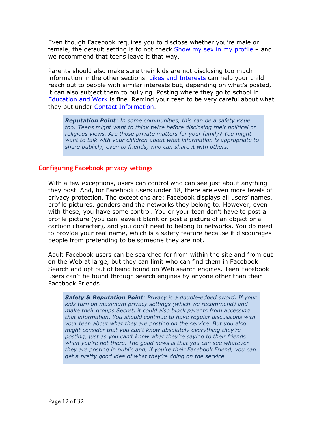Even though Facebook requires you to disclose whether you're male or female, the default setting is to not check Show my sex in my profile - and we recommend that teens leave it that way.

Parents should also make sure their kids are not disclosing too much information in the other sections. Likes and Interests can help your child reach out to people with similar interests but, depending on what's posted, it can also subject them to bullying. Posting where they go to school in Education and Work is fine. Remind your teen to be very careful about what they put under Contact Information.

*Reputation Point: In some communities, this can be a safety issue too: Teens might want to think twice before disclosing their political or religious views. Are those private matters for your family? You might want to talk with your children about what information is appropriate to share publicly, even to friends, who can share it with others.* 

#### **Configuring Facebook privacy settings**

With a few exceptions, users can control who can see just about anything they post. And, for Facebook users under 18, there are even more levels of privacy protection. The exceptions are: Facebook displays all users' names, profile pictures, genders and the networks they belong to. However, even with these, you have some control. You or your teen don't have to post a profile picture (you can leave it blank or post a picture of an object or a cartoon character), and you don't need to belong to networks. You do need to provide your real name, which is a safety feature because it discourages people from pretending to be someone they are not.

Adult Facebook users can be searched for from within the site and from out on the Web at large, but they can limit who can find them in Facebook Search and opt out of being found on Web search engines. Teen Facebook users can't be found through search engines by anyone other than their Facebook Friends.

*Safety & Reputation Point: Privacy is a double-edged sword. If your kids turn on maximum privacy settings (which we recommend) and make their groups Secret, it could also block parents from accessing that information. You should continue to have regular discussions with your teen about what they are posting on the service. But you also might consider that you can't know absolutely everything they're posting, just as you can't know what they're saying to their friends when you're not there. The good news is that you can see whatever they are posting in public and, if you're their Facebook Friend, you can get a pretty good idea of what they're doing on the service.*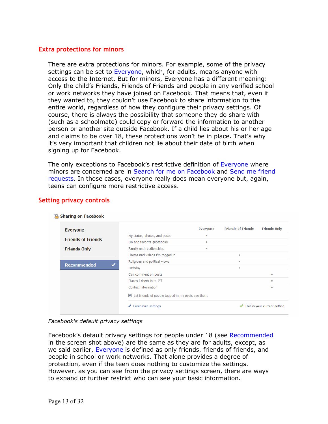#### **Extra protections for minors**

There are extra protections for minors. For example, some of the privacy settings can be set to Everyone, which, for adults, means anyone with access to the Internet. But for minors, Everyone has a different meaning: Only the child's Friends, Friends of Friends and people in any verified school or work networks they have joined on Facebook. That means that, even if they wanted to, they couldn't use Facebook to share information to the entire world, regardless of how they configure their privacy settings. Of course, there is always the possibility that someone they do share with (such as a schoolmate) could copy or forward the information to another person or another site outside Facebook. If a child lies about his or her age and claims to be over 18, these protections won't be in place. That's why it's very important that children not lie about their date of birth when signing up for Facebook.

The only exceptions to Facebook's restrictive definition of Everyone where minors are concerned are in Search for me on Facebook and Send me friend requests. In those cases, everyone really does mean everyone but, again, teens can configure more restrictive access.

| <b>Everyone</b>           |                                                    | Everyone  | <b>Friends of Friends</b> | <b>Friends Only</b>           |
|---------------------------|----------------------------------------------------|-----------|---------------------------|-------------------------------|
|                           | My status, photos, and posts                       | ۰         |                           |                               |
| <b>Friends of Friends</b> | Bio and favorite quotations                        | $\bullet$ |                           |                               |
| <b>Friends Only</b>       | Family and relationships                           | ٠         |                           |                               |
|                           | Photos and videos I'm tagged in                    |           | $\bullet$                 |                               |
|                           | Religious and political views                      |           | ٠                         |                               |
| <b>Recommended</b>        | Birthday                                           |           | $\bullet$                 |                               |
|                           | Can comment on posts                               |           |                           | $\bullet$                     |
|                           | Places I check in to [?]                           |           |                           | $\bullet$                     |
|                           | Contact information                                |           |                           | ٠                             |
|                           | Let friends of people tagged in my posts see them. |           |                           |                               |
|                           | Customize settings                                 |           |                           | This is your current setting. |

#### **Setting privacy controls**

**PA** Sharing on Facebook

#### *Facebook's default privacy settings*

Facebook's default privacy settings for people under 18 (see Recommended in the screen shot above) are the same as they are for adults, except, as we said earlier, Everyone is defined as only friends, friends of friends, and people in school or work networks. That alone provides a degree of protection, even if the teen does nothing to customize the settings. However, as you can see from the privacy settings screen, there are ways to expand or further restrict who can see your basic information.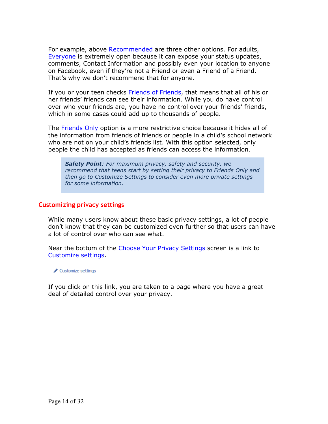For example, above Recommended are three other options. For adults, Everyone is extremely open because it can expose your status updates, comments, Contact Information and possibly even your location to anyone on Facebook, even if they're not a Friend or even a Friend of a Friend. That's why we don't recommend that for anyone.

If you or your teen checks Friends of Friends, that means that all of his or her friends' friends can see their information. While you do have control over who your friends are, you have no control over your friends' friends, which in some cases could add up to thousands of people.

The Friends Only option is a more restrictive choice because it hides all of the information from friends of friends or people in a child's school network who are not on your child's friends list. With this option selected, only people the child has accepted as friends can access the information.

*Safety Point: For maximum privacy, safety and security, we recommend that teens start by setting their privacy to Friends Only and then go to Customize Settings to consider even more private settings for some information.*

#### **Customizing privacy settings**

While many users know about these basic privacy settings, a lot of people don't know that they can be customized even further so that users can have a lot of control over who can see what.

Near the bottom of the Choose Your Privacy Settings screen is a link to Customize settings.

Customize settings

If you click on this link, you are taken to a page where you have a great deal of detailed control over your privacy.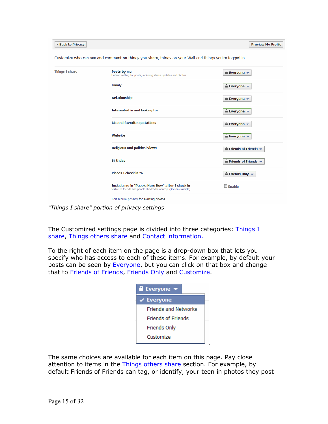| I Back to Privacy     |                                                                                                                      | <b>Preview My Profile</b>                               |
|-----------------------|----------------------------------------------------------------------------------------------------------------------|---------------------------------------------------------|
|                       | Customize who can see and comment on things you share, things on your Wall and things you're tagged in.              |                                                         |
| <b>Things I share</b> | Posts by me<br>Default setting for posts, including status updates and photos                                        | $\blacksquare$ Everyone $\blacktriangledown$            |
|                       | <b>Family</b>                                                                                                        | $\blacksquare$ Everyone $\blacktriangledown$            |
|                       | <b>Relationships</b>                                                                                                 | $\blacksquare$ Everyone $\blacktriangledown$            |
|                       | Interested in and looking for                                                                                        | $\blacksquare$ Everyone $\blacktriangledown$            |
|                       | <b>Bio and favorite quotations</b>                                                                                   | $\blacksquare$ Everyone $\blacktriangledown$            |
|                       | <b>Website</b>                                                                                                       | $\blacksquare$ Everyone $\blacktriangledown$            |
|                       | <b>Religious and political views</b>                                                                                 | $\blacksquare$ Friends of Friends $\blacktriangleright$ |
|                       | <b>Birthday</b>                                                                                                      | $\blacksquare$ Friends of Friends $\blacktriangledown$  |
|                       | <b>Places I check in to</b>                                                                                          | $\blacksquare$ Friends Only $\blacktriangleright$       |
|                       | Include me in "People Here Now" after I check in<br>Visible to friends and people checked in nearby (See an example) | <b>Enable</b>                                           |
|                       | Edit album privacy for existing photos.                                                                              |                                                         |

*"Things I share" portion of privacy settings* 

The Customized settings page is divided into three categories: Things I share, Things others share and Contact information.

To the right of each item on the page is a drop-down box that lets you specify who has access to each of these items. For example, by default your posts can be seen by Everyone, but you can click on that box and change that to Friends of Friends, Friends Only and Customize.

| <b>Exeryone</b><br>▼          |
|-------------------------------|
| $\sqrt{\phantom{a}}$ Everyone |
| <b>Friends and Networks</b>   |
| <b>Friends of Friends</b>     |
| <b>Friends Only</b>           |
| Customize                     |

.

The same choices are available for each item on this page. Pay close attention to items in the Things others share section. For example, by default Friends of Friends can tag, or identify, your teen in photos they post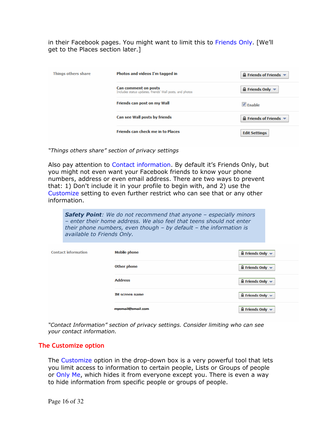in their Facebook pages. You might want to limit this to Friends Only. [We'll get to the Places section later.]

| Things others share | Photos and videos I'm tagged in                                                  | $\triangle$ Friends of Friends $\blacktriangledown$ |
|---------------------|----------------------------------------------------------------------------------|-----------------------------------------------------|
|                     | Can comment on posts<br>Includes status updates, friends' Wall posts, and photos | $\triangle$ Friends Only $\blacktriangledown$       |
|                     | Friends can post on my Wall                                                      | $V$ Fnable                                          |
|                     | Can see Wall posts by friends                                                    | $\triangle$ Friends of Friends $\blacktriangledown$ |
|                     | <b>Friends can check me in to Places</b>                                         | <b>Edit Settings</b>                                |

*"Things others share" section of privacy settings* 

Also pay attention to Contact information. By default it's Friends Only, but you might not even want your Facebook friends to know your phone numbers, address or even email address. There are two ways to prevent that: 1) Don't include it in your profile to begin with, and 2) use the Customize setting to even further restrict who can see that or any other information.

*Safety Point: We do not recommend that anyone – especially minors – enter their home address. We also feel that teens should not enter their phone numbers, even though – by default – the information is available to Friends Only.* 

| <b>Contact information</b> | <b>Mobile phone</b>   | $\blacksquare$ Friends Only $\blacktriangledown$  |
|----------------------------|-----------------------|---------------------------------------------------|
|                            | <b>Other phone</b>    | $\blacksquare$ Friends Only $\blacktriangledown$  |
|                            | <b>Address</b>        | $\blacksquare$ Friends Only $\blacktriangledown$  |
|                            | <b>IM screen name</b> | $\blacksquare$ Friends Only $\blacktriangledown$  |
|                            | myemail@email.com     | $\blacksquare$ Friends Only $\blacktriangleright$ |

*"Contact Information" section of privacy settings. Consider limiting who can see your contact information.* 

#### **The Customize option**

The Customize option in the drop-down box is a very powerful tool that lets you limit access to information to certain people, Lists or Groups of people or Only Me, which hides it from everyone except you. There is even a way to hide information from specific people or groups of people.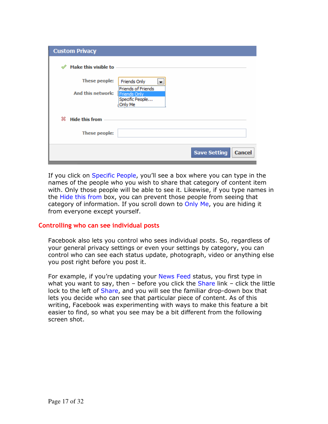| <b>Custom Privacy</b>      |                                                                         |
|----------------------------|-------------------------------------------------------------------------|
| Make this visible to<br>৶  |                                                                         |
| These people:              | Friends Only<br>▼                                                       |
| And this network:          | <b>Friends of Friends</b><br>Friends Only<br>Specific People<br>Only Me |
| ж<br><b>Hide this from</b> |                                                                         |
| These people:              |                                                                         |
|                            | <b>Save Setting</b><br><b>Cancel</b>                                    |

If you click on Specific People, you'll see a box where you can type in the names of the people who you wish to share that category of content item with. Only those people will be able to see it. Likewise, if you type names in the Hide this from box, you can prevent those people from seeing that category of information. If you scroll down to Only Me, you are hiding it from everyone except yourself.

#### **Controlling who can see individual posts**

Facebook also lets you control who sees individual posts. So, regardless of your general privacy settings or even your settings by category, you can control who can see each status update, photograph, video or anything else you post right before you post it.

For example, if you're updating your News Feed status, you first type in what you want to say, then  $-$  before you click the Share link  $-$  click the little lock to the left of Share, and you will see the familiar drop-down box that lets you decide who can see that particular piece of content. As of this writing, Facebook was experimenting with ways to make this feature a bit easier to find, so what you see may be a bit different from the following screen shot.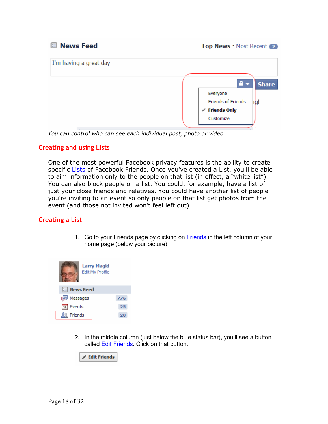**News Feed** 

Top News · Most Recent 2



*You can control who can see each individual post, photo or video.* 

#### **Creating and using Lists**

One of the most powerful Facebook privacy features is the ability to create specific Lists of Facebook Friends. Once you've created a List, you'll be able to aim information only to the people on that list (in effect, a "white list"). You can also block people on a list. You could, for example, have a list of just your close friends and relatives. You could have another list of people you're inviting to an event so only people on that list get photos from the event (and those not invited won't feel left out).

#### **Creating a List**

1. Go to your Friends page by clicking on Friends in the left column of your home page (below your picture)



2. In the middle column (just below the blue status bar), you'll see a button called Edit Friends. Click on that button.

Edit Friends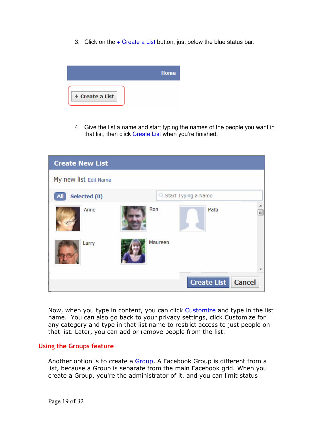3. Click on the + Create a List button, just below the blue status bar.



4. Give the list a name and start typing the names of the people you want in that list, then click Create List when you're finished.

| <b>Create New List</b> |                                     |               |
|------------------------|-------------------------------------|---------------|
| My new list Edit Name  |                                     |               |
| Selected (0)           | C. Start Typing a Name              |               |
| Anne                   | Ron<br>Patti                        | ▲<br>$\equiv$ |
| Larry                  | Maureen                             |               |
|                        |                                     |               |
|                        | <b>Create List</b><br><b>Cancel</b> |               |

Now, when you type in content, you can click Customize and type in the list name. You can also go back to your privacy settings, click Customize for any category and type in that list name to restrict access to just people on that list. Later, you can add or remove people from the list.

#### **Using the Groups feature**

Another option is to create a Group. A Facebook Group is different from a list, because a Group is separate from the main Facebook grid. When you create a Group, you're the administrator of it, and you can limit status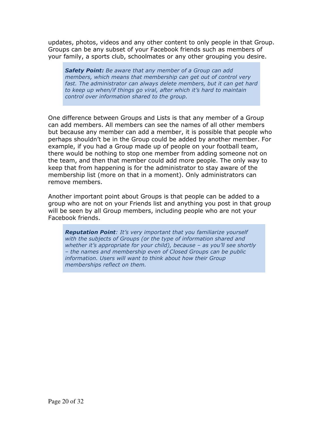updates, photos, videos and any other content to only people in that Group. Groups can be any subset of your Facebook friends such as members of your family, a sports club, schoolmates or any other grouping you desire.

*Safety Point: Be aware that any member of a Group can add members, which means that membership can get out of control very*  fast. The administrator can always delete members, but it can get hard *to keep up when/if things go viral, after which it's hard to maintain control over information shared to the group.*

One difference between Groups and Lists is that any member of a Group can add members. All members can see the names of all other members but because any member can add a member, it is possible that people who perhaps shouldn't be in the Group could be added by another member. For example, if you had a Group made up of people on your football team, there would be nothing to stop one member from adding someone not on the team, and then that member could add more people. The only way to keep that from happening is for the administrator to stay aware of the membership list (more on that in a moment). Only administrators can remove members.

Another important point about Groups is that people can be added to a group who are not on your Friends list and anything you post in that group will be seen by all Group members, including people who are not your Facebook friends.

*Reputation Point: It's very important that you familiarize yourself with the subjects of Groups (or the type of information shared and whether it's appropriate for your child), because – as you'll see shortly – the names and membership even of Closed Groups can be public information. Users will want to think about how their Group memberships reflect on them.*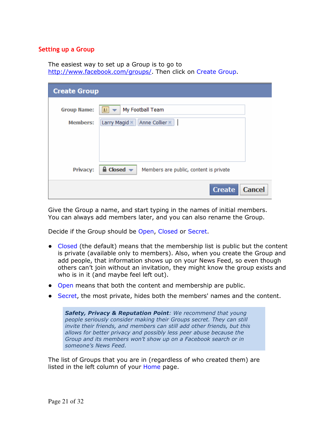#### **Setting up a Group**

The easiest way to set up a Group is to go to http://www.facebook.com/groups/. Then click on Create Group.

| <b>Create Group</b>                   |                                                                                                                      |
|---------------------------------------|----------------------------------------------------------------------------------------------------------------------|
| <b>Group Name:</b><br><b>Members:</b> | My Football Team<br>Larry Magid *<br>Anne Collier *                                                                  |
| Privacy:                              | $\triangle$ Closed $\blacktriangleright$<br>Members are public, content is private<br><b>Cancel</b><br><b>Create</b> |

Give the Group a name, and start typing in the names of initial members. You can always add members later, and you can also rename the Group.

Decide if the Group should be Open, Closed or Secret.

- Closed (the default) means that the membership list is public but the content is private (available only to members). Also, when you create the Group and add people, that information shows up on your News Feed, so even though others can't join without an invitation, they might know the group exists and who is in it (and maybe feel left out).
- Open means that both the content and membership are public.
- Secret, the most private, hides both the members' names and the content.

*Safety, Privacy & Reputation Point: We recommend that young people seriously consider making their Groups secret. They can still invite their friends, and members can still add other friends, but this allows for better privacy and possibly less peer abuse because the Group and its members won't show up on a Facebook search or in someone's News Feed.*

The list of Groups that you are in (regardless of who created them) are listed in the left column of your Home page.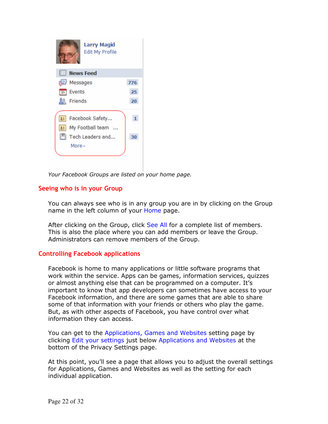

*Your Facebook Groups are listed on your home page.* 

#### **Seeing who is in your Group**

You can always see who is in any group you are in by clicking on the Group name in the left column of your Home page.

After clicking on the Group, click See All for a complete list of members. This is also the place where you can add members or leave the Group. Administrators can remove members of the Group.

#### **Controlling Facebook applications**

Facebook is home to many applications or little software programs that work within the service. Apps can be games, information services, quizzes or almost anything else that can be programmed on a computer. It's important to know that app developers can sometimes have access to your Facebook information, and there are some games that are able to share some of that information with your friends or others who play the game. But, as with other aspects of Facebook, you have control over what information they can access.

You can get to the Applications, Games and Websites setting page by clicking Edit your settings just below Applications and Websites at the bottom of the Privacy Settings page.

At this point, you'll see a page that allows you to adjust the overall settings for Applications, Games and Websites as well as the setting for each individual application.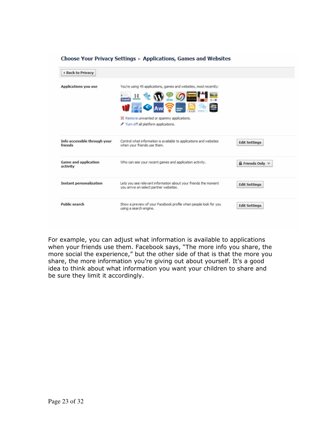| <b>4 Back to Privacy</b>                |                                                                                                                                                                               |                                       |
|-----------------------------------------|-------------------------------------------------------------------------------------------------------------------------------------------------------------------------------|---------------------------------------|
| <b>Applications you use</b>             | You're using 45 applications, games and websites, most recently:<br>g innin<br>Н<br>NEWS<br>3% Remove unwanted or spammy applications.<br>Turn off all platform applications. |                                       |
| Info accessible through your<br>friends | Control what information is available to applications and websites<br>when your friends use them.                                                                             | <b>Edit Settings</b>                  |
| <b>Game and application</b><br>activity | Who can see your recent games and application activity.                                                                                                                       | $F$ Friends Only $\blacktriangledown$ |
| <b>Instant personalization</b>          | Lets you see relevant information about your friends the moment<br>you arrive on select partner websites.                                                                     | <b>Edit Settings</b>                  |
| <b>Public search</b>                    | Show a preview of your Facebook profile when people look for you<br>using a search engine.                                                                                    | <b>Edit Settings</b>                  |

#### Choose Your Privacy Settings ▶ Applications, Games and Websites

For example, you can adjust what information is available to applications when your friends use them. Facebook says, "The more info you share, the more social the experience," but the other side of that is that the more you share, the more information you're giving out about yourself. It's a good idea to think about what information you want your children to share and be sure they limit it accordingly.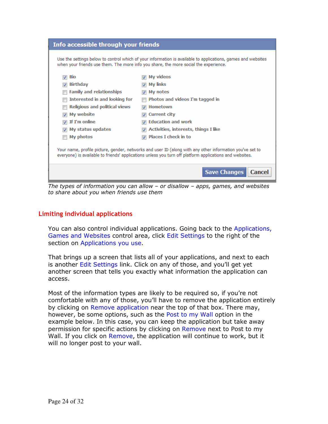| Info accessible through your friends |                                                                                                                                                                                                                     |
|--------------------------------------|---------------------------------------------------------------------------------------------------------------------------------------------------------------------------------------------------------------------|
|                                      | Use the settings below to control which of your information is available to applications, games and websites<br>when your friends use them. The more info you share, the more social the experience.                |
| <b>Bio</b>                           | My videos                                                                                                                                                                                                           |
| <b>Birthday</b>                      | My links                                                                                                                                                                                                            |
| <b>Family and relationships</b>      | My notes                                                                                                                                                                                                            |
| Interested in and looking for        | Photos and videos I'm tagged in                                                                                                                                                                                     |
| <b>Religious and political views</b> | <b>Hometown</b>                                                                                                                                                                                                     |
| My website                           | <b>Current city</b>                                                                                                                                                                                                 |
| If I'm online                        | <b>Education and work</b><br>$\overline{v}$                                                                                                                                                                         |
| My status updates                    | Activities, interests, things I like                                                                                                                                                                                |
| My photos                            | <b>Places I check in to</b><br>⊽                                                                                                                                                                                    |
|                                      | Your name, profile picture, gender, networks and user ID (along with any other information you've set to<br>everyone) is available to friends' applications unless you turn off platform applications and websites. |
|                                      | <b>Save Changes</b><br><b>Cancel</b>                                                                                                                                                                                |

*The types of information you can allow – or disallow – apps, games, and websites to share about you when friends use them* 

#### **Limiting individual applications**

You can also control individual applications. Going back to the Applications, Games and Websites control area, click Edit Settings to the right of the section on Applications you use.

That brings up a screen that lists all of your applications, and next to each is another Edit Settings link. Click on any of those, and you'll get yet another screen that tells you exactly what information the application can access.

Most of the information types are likely to be required so, if you're not comfortable with any of those, you'll have to remove the application entirely by clicking on Remove application near the top of that box. There may, however, be some options, such as the Post to my Wall option in the example below. In this case, you can keep the application but take away permission for specific actions by clicking on Remove next to Post to my Wall. If you click on Remove, the application will continue to work, but it will no longer post to your wall.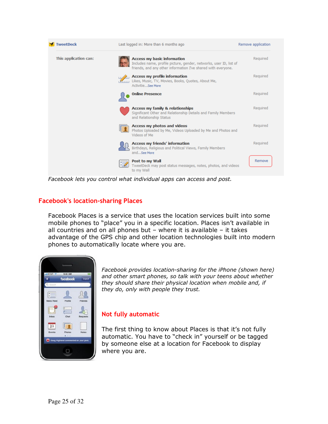

*Facebook lets you control what individual apps can access and post.* 

#### **Facebook's location-sharing Places**

Facebook Places is a service that uses the location services built into some mobile phones to "place" you in a specific location. Places isn't available in all countries and on all phones but – where it is available – it takes advantage of the GPS chip and other location technologies built into modern phones to automatically locate where you are.



*Facebook provides location-sharing for the iPhone (shown here) and other smart phones, so talk with your teens about whether they should share their physical location when mobile and, if they do, only with people they trust.* 

#### **Not fully automatic**

The first thing to know about Places is that it's not fully automatic. You have to "check in" yourself or be tagged by someone else at a location for Facebook to display where you are.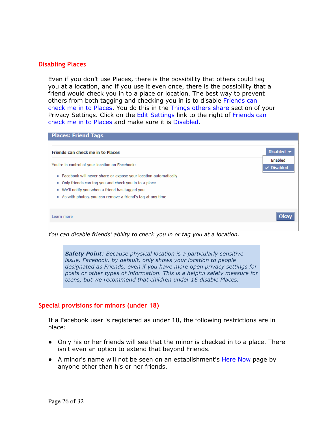#### **Disabling Places**

Even if you don't use Places, there is the possibility that others could tag you at a location, and if you use it even once, there is the possibility that a friend would check you in to a place or location. The best way to prevent others from both tagging and checking you in is to disable Friends can check me in to Places. You do this in the Things others share section of your Privacy Settings. Click on the Edit Settings link to the right of Friends can check me in to Places and make sure it is Disabled.

| You're in control of your location on Facebook:                   | Enabled         |
|-------------------------------------------------------------------|-----------------|
|                                                                   | $\vee$ Disabled |
| . Facebook will never share or expose your location automatically |                 |
| . Only friends can tag you and check you in to a place            |                 |
| . We'll notify you when a friend has tagged you                   |                 |
| As with photos, you can remove a friend's tag at any time         |                 |

*You can disable friends' ability to check you in or tag you at a location.* 

*Safety Point: Because physical location is a particularly sensitive issue, Facebook, by default, only shows your location to people designated as Friends, even if you have more open privacy settings for posts or other types of information. This is a helpful safety measure for teens, but we recommend that children under 16 disable Places.* 

#### **Special provisions for minors (under 18)**

If a Facebook user is registered as under 18, the following restrictions are in place:

- Only his or her friends will see that the minor is checked in to a place. There isn't even an option to extend that beyond Friends.
- A minor's name will not be seen on an establishment's Here Now page by anyone other than his or her friends.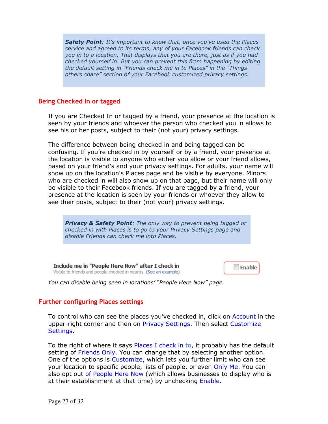*Safety Point: It's important to know that, once you've used the Places service and agreed to its terms, any of your Facebook friends can check you in to a location. That displays that you are there, just as if you had checked yourself in. But you can prevent this from happening by editing the default setting in "Friends check me in to Places" in the "Things others share" section of your Facebook customized privacy settings.*

#### **Being Checked In or tagged**

If you are Checked In or tagged by a friend, your presence at the location is seen by your friends and whoever the person who checked you in allows to see his or her posts, subject to their (not your) privacy settings.

The difference between being checked in and being tagged can be confusing. If you're checked in by yourself or by a friend, your presence at the location is visible to anyone who either you allow or your friend allows, based on your friend's and your privacy settings. For adults, your name will show up on the location's Places page and be visible by everyone. Minors who are checked in will also show up on that page, but their name will only be visible to their Facebook friends. If you are tagged by a friend, your presence at the location is seen by your friends or whoever they allow to see their posts, subject to their (not your) privacy settings.

*Privacy & Safety Point: The only way to prevent being tagged or checked in with Places is to go to your Privacy Settings page and disable Friends can check me into Places.*

Include me in "People Here Now" after I check in Visible to friends and people checked in nearby (See an example) **E** Enable

*You can disable being seen in locations' "People Here Now" page.* 

#### **Further configuring Places settings**

To control who can see the places you've checked in, click on Account in the upper-right corner and then on Privacy Settings. Then select Customize Settings.

To the right of where it says Places I check in to, it probably has the default setting of Friends Only. You can change that by selecting another option. One of the options is Customize, which lets you further limit who can see your location to specific people, lists of people, or even Only Me. You can also opt out of People Here Now (which allows businesses to display who is at their establishment at that time) by unchecking Enable.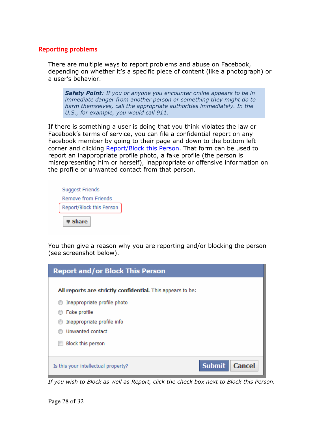#### **Reporting problems**

There are multiple ways to report problems and abuse on Facebook, depending on whether it's a specific piece of content (like a photograph) or a user's behavior.

*Safety Point: If you or anyone you encounter online appears to be in immediate danger from another person or something they might do to harm themselves, call the appropriate authorities immediately. In the U.S., for example, you would call 911.*

If there is something a user is doing that you think violates the law or Facebook's terms of service, you can file a confidential report on any Facebook member by going to their page and down to the bottom left corner and clicking Report/Block this Person. That form can be used to report an inappropriate profile photo, a fake profile (the person is misrepresenting him or herself), inappropriate or offensive information on the profile or unwanted contact from that person.



You then give a reason why you are reporting and/or blocking the person (see screenshot below).

| <b>Report and/or Block This Person</b>                     |                                |  |
|------------------------------------------------------------|--------------------------------|--|
| All reports are strictly confidential. This appears to be: |                                |  |
| Inappropriate profile photo                                |                                |  |
| Fake profile                                               |                                |  |
| Inappropriate profile info                                 |                                |  |
| Unwanted contact                                           |                                |  |
| Block this person                                          |                                |  |
| Is this your intellectual property?                        | <b>Submit</b><br><b>Cancel</b> |  |

*If you wish to Block as well as Report, click the check box next to Block this Person.*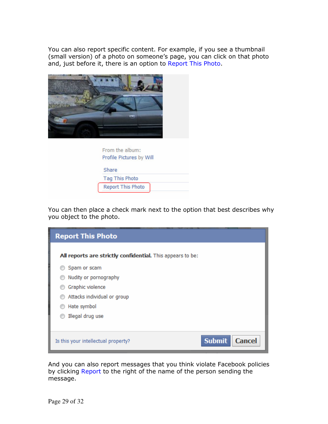You can also report specific content. For example, if you see a thumbnail (small version) of a photo on someone's page, you can click on that photo and, just before it, there is an option to Report This Photo.



| Profile Pictures by Will |  |
|--------------------------|--|
| Share                    |  |
| <b>Tag This Photo</b>    |  |
| <b>Report This Photo</b> |  |

You can then place a check mark next to the option that best describes why you object to the photo.

| <b>Report This Photo</b>                                   |                                |
|------------------------------------------------------------|--------------------------------|
| All reports are strictly confidential. This appears to be: |                                |
| Spam or scam                                               |                                |
| Nudity or pornography                                      |                                |
| Graphic violence                                           |                                |
| Attacks individual or group                                |                                |
| Hate symbol                                                |                                |
| Illegal drug use                                           |                                |
|                                                            |                                |
| Is this your intellectual property?                        | <b>Submit</b><br><b>Cancel</b> |

And you can also report messages that you think violate Facebook policies by clicking Report to the right of the name of the person sending the message.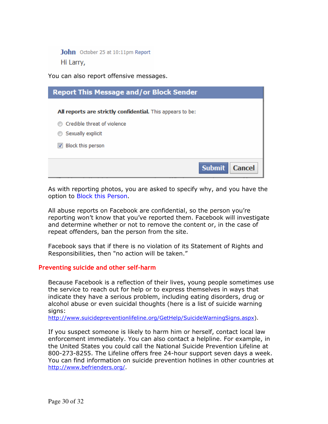John October 25 at 10:11pm Report Hi Larry,

You can also report offensive messages.



As with reporting photos, you are asked to specify why, and you have the option to Block this Person.

All abuse reports on Facebook are confidential, so the person you're reporting won't know that you've reported them. Facebook will investigate and determine whether or not to remove the content or, in the case of repeat offenders, ban the person from the site.

Facebook says that if there is no violation of its Statement of Rights and Responsibilities, then "no action will be taken."

#### **Preventing suicide and other self-harm**

Because Facebook is a reflection of their lives, young people sometimes use the service to reach out for help or to express themselves in ways that indicate they have a serious problem, including eating disorders, drug or alcohol abuse or even suicidal thoughts (here is a list of suicide warning signs:

http://www.suicidepreventionlifeline.org/GetHelp/SuicideWarningSigns.aspx).

If you suspect someone is likely to harm him or herself, contact local law enforcement immediately. You can also contact a helpline. For example, in the United States you could call the National Suicide Prevention Lifeline at 800-273-8255. The Lifeline offers free 24-hour support seven days a week. You can find information on suicide prevention hotlines in other countries at http://www.befrienders.org/.